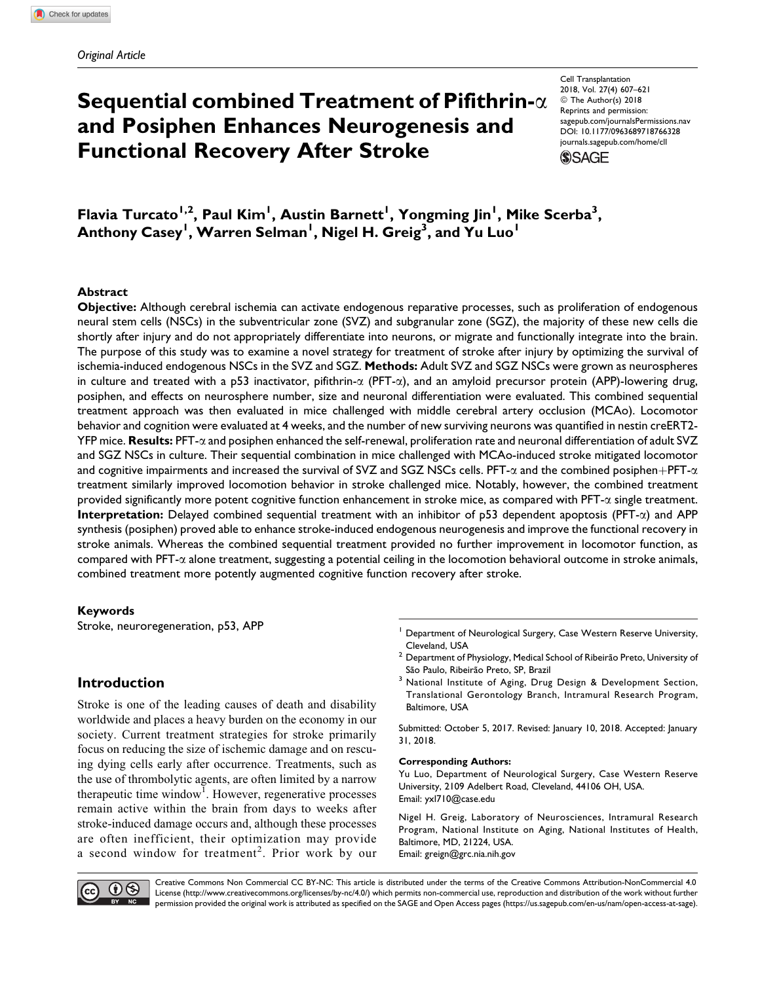# Sequential combined Treatment of Pifithrin- $\alpha$ and Posiphen Enhances Neurogenesis and Functional Recovery After Stroke

Cell Transplantation 2018, Vol. 27(4) 607–621 © The Author(s) 2018 Reprints and permission: [sagepub.com/journalsPermissions.nav](https://us.sagepub.com/en-us/journals-permissions) [DOI: 10.1177/0963689718766328](https://doi.org/10.1177/0963689718766328) [journals.sagepub.com/home/cll](http://journals.sagepub.com/home/cll)

**SSAGE** 

Flavia Turcato<sup>1,2</sup>, Paul Kim<sup>1</sup>, Austin Barnett<sup>1</sup>, Yongming Jin<sup>1</sup>, Mike Scerba<sup>3</sup>, Anthony Casey<sup>l</sup>, Warren Selman<sup>l</sup>, Nigel H. Greig<sup>3</sup>, and Yu Luo<sup>l</sup>

## Abstract

Objective: Although cerebral ischemia can activate endogenous reparative processes, such as proliferation of endogenous neural stem cells (NSCs) in the subventricular zone (SVZ) and subgranular zone (SGZ), the majority of these new cells die shortly after injury and do not appropriately differentiate into neurons, or migrate and functionally integrate into the brain. The purpose of this study was to examine a novel strategy for treatment of stroke after injury by optimizing the survival of ischemia-induced endogenous NSCs in the SVZ and SGZ. Methods: Adult SVZ and SGZ NSCs were grown as neurospheres in culture and treated with a p53 inactivator, pifithrin- $\alpha$  (PFT- $\alpha$ ), and an amyloid precursor protein (APP)-lowering drug, posiphen, and effects on neurosphere number, size and neuronal differentiation were evaluated. This combined sequential treatment approach was then evaluated in mice challenged with middle cerebral artery occlusion (MCAo). Locomotor behavior and cognition were evaluated at 4 weeks, and the number of new surviving neurons was quantified in nestin creERT2-  $YFP$  mice. Results: PFT- $\alpha$  and posiphen enhanced the self-renewal, proliferation rate and neuronal differentiation of adult SVZ and SGZ NSCs in culture. Their sequential combination in mice challenged with MCAo-induced stroke mitigated locomotor and cognitive impairments and increased the survival of SVZ and SGZ NSCs cells. PFT- $\alpha$  and the combined posiphen+PFT- $\alpha$ treatment similarly improved locomotion behavior in stroke challenged mice. Notably, however, the combined treatment provided significantly more potent cognitive function enhancement in stroke mice, as compared with PFT- $\alpha$  single treatment. **Interpretation:** Delayed combined sequential treatment with an inhibitor of p53 dependent apoptosis (PFT- $\alpha$ ) and APP synthesis (posiphen) proved able to enhance stroke-induced endogenous neurogenesis and improve the functional recovery in stroke animals. Whereas the combined sequential treatment provided no further improvement in locomotor function, as  $compared$  with PFT- $\alpha$  alone treatment, suggesting a potential ceiling in the locomotion behavioral outcome in stroke animals, combined treatment more potently augmented cognitive function recovery after stroke.

#### Keywords

Stroke, neuroregeneration, p53, APP

# Introduction

Stroke is one of the leading causes of death and disability worldwide and places a heavy burden on the economy in our society. Current treatment strategies for stroke primarily focus on reducing the size of ischemic damage and on rescuing dying cells early after occurrence. Treatments, such as the use of thrombolytic agents, are often limited by a narrow therapeutic time window<sup>1</sup>. However, regenerative processes remain active within the brain from days to weeks after stroke-induced damage occurs and, although these processes are often inefficient, their optimization may provide a second window for treatment<sup>2</sup>. Prior work by our

- $2$  Department of Physiology, Medical School of Ribeirão Preto, University of
- São Paulo, Ribeirão Preto, SP, Brazil 3<br><sup>3</sup> National Institute of Aging, Drug Design & Development Section, Translational Gerontology Branch, Intramural Research Program, Baltimore, USA

Submitted: October 5, 2017. Revised: January 10, 2018. Accepted: January 31, 2018.

#### Corresponding Authors:

Yu Luo, Department of Neurological Surgery, Case Western Reserve University, 2109 Adelbert Road, Cleveland, 44106 OH, USA. Email: [yxl710@case.edu](mailto:yxl710@case.edu)

Nigel H. Greig, Laboratory of Neurosciences, Intramural Research Program, National Institute on Aging, National Institutes of Health, Baltimore, MD, 21224, USA. Email: [greign@grc.nia.nih.gov](mailto:greign@grc.nia.nih.gov)



Creative Commons Non Commercial CC BY-NC: This article is distributed under the terms of the Creative Commons Attribution-NonCommercial 4.0 License (http://www.creativecommons.org/licenses/by-nc/4.0/) which permits non-commercial use, reproduction and distribution of the work without further permission provided the original work is attributed as specified on the SAGE and Open Access pages (https://us.sagepub.com/en-us/nam/open-access-at-sage).

<sup>&</sup>lt;sup>1</sup> Department of Neurological Surgery, Case Western Reserve University, Cleveland, USA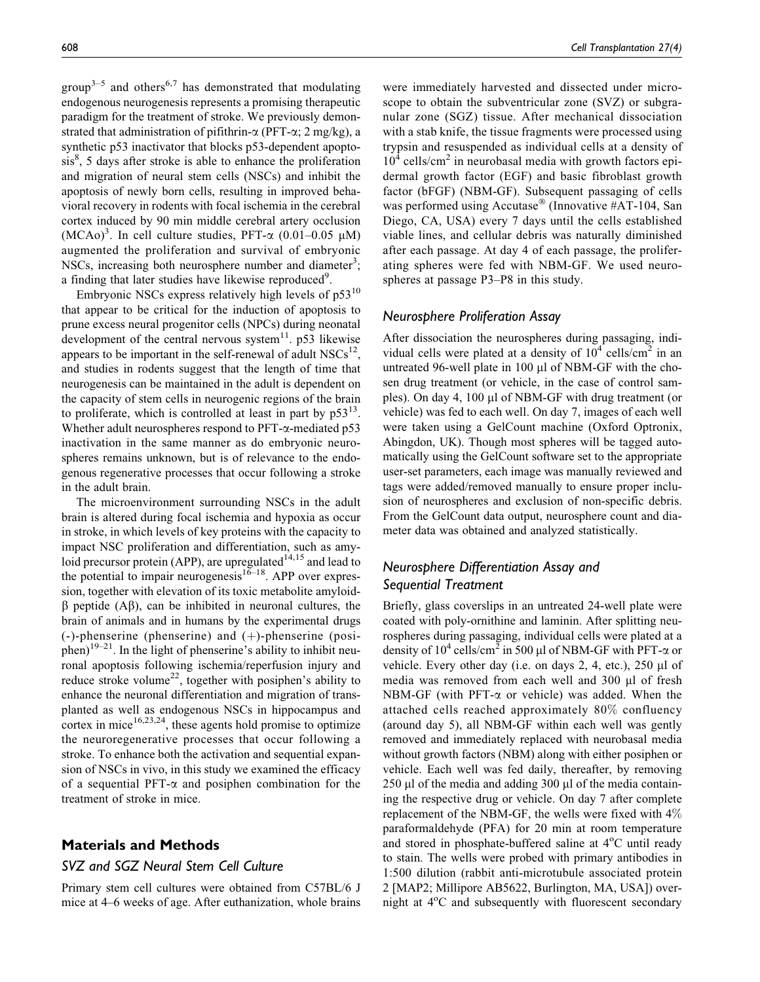group<sup>3–5</sup> and others<sup>6,7</sup> has demonstrated that modulating endogenous neurogenesis represents a promising therapeutic paradigm for the treatment of stroke. We previously demonstrated that administration of pifithrin- $\alpha$  (PFT- $\alpha$ ; 2 mg/kg), a synthetic p53 inactivator that blocks p53-dependent apopto- $\sin^8$ , 5 days after stroke is able to enhance the proliferation and migration of neural stem cells (NSCs) and inhibit the apoptosis of newly born cells, resulting in improved behavioral recovery in rodents with focal ischemia in the cerebral cortex induced by 90 min middle cerebral artery occlusion  $(MCAo)^3$ . In cell culture studies, PFT- $\alpha$  (0.01–0.05 µM) augmented the proliferation and survival of embryonic NSCs, increasing both neurosphere number and diameter<sup>3</sup>; a finding that later studies have likewise reproduced<sup>9</sup>.

Embryonic NSCs express relatively high levels of  $p53^{10}$ that appear to be critical for the induction of apoptosis to prune excess neural progenitor cells (NPCs) during neonatal development of the central nervous system $^{11}$ . p53 likewise appears to be important in the self-renewal of adult  $NSCs^{12}$ , and studies in rodents suggest that the length of time that neurogenesis can be maintained in the adult is dependent on the capacity of stem cells in neurogenic regions of the brain to proliferate, which is controlled at least in part by  $p53^{13}$ . Whether adult neurospheres respond to PFT-a-mediated p53 inactivation in the same manner as do embryonic neurospheres remains unknown, but is of relevance to the endogenous regenerative processes that occur following a stroke in the adult brain.

The microenvironment surrounding NSCs in the adult brain is altered during focal ischemia and hypoxia as occur in stroke, in which levels of key proteins with the capacity to impact NSC proliferation and differentiation, such as amyloid precursor protein (APP), are upregulated $14,15$  and lead to the potential to impair neurogenesis<sup>16–18</sup>. APP over expression, together with elevation of its toxic metabolite amyloid- $\beta$  peptide (A $\beta$ ), can be inhibited in neuronal cultures, the brain of animals and in humans by the experimental drugs  $(-)$ -phenserine (phenserine) and  $(+)$ -phenserine (posiphen)<sup>19–21</sup>. In the light of phenserine's ability to inhibit neuronal apoptosis following ischemia/reperfusion injury and reduce stroke volume<sup>22</sup>, together with posiphen's ability to enhance the neuronal differentiation and migration of transplanted as well as endogenous NSCs in hippocampus and cortex in mice $16,23,24$ , these agents hold promise to optimize the neuroregenerative processes that occur following a stroke. To enhance both the activation and sequential expansion of NSCs in vivo, in this study we examined the efficacy of a sequential PFT- $\alpha$  and posiphen combination for the treatment of stroke in mice.

# Materials and Methods

# SVZ and SGZ Neural Stem Cell Culture

Primary stem cell cultures were obtained from C57BL/6 J mice at 4–6 weeks of age. After euthanization, whole brains were immediately harvested and dissected under microscope to obtain the subventricular zone (SVZ) or subgranular zone (SGZ) tissue. After mechanical dissociation with a stab knife, the tissue fragments were processed using trypsin and resuspended as individual cells at a density of  $10<sup>4</sup>$  cells/cm<sup>2</sup> in neurobasal media with growth factors epidermal growth factor (EGF) and basic fibroblast growth factor (bFGF) (NBM-GF). Subsequent passaging of cells was performed using Accutase<sup>®</sup> (Innovative #AT-104, San Diego, CA, USA) every 7 days until the cells established viable lines, and cellular debris was naturally diminished after each passage. At day 4 of each passage, the proliferating spheres were fed with NBM-GF. We used neurospheres at passage P3–P8 in this study.

#### Neurosphere Proliferation Assay

After dissociation the neurospheres during passaging, individual cells were plated at a density of  $10^4$  cells/cm<sup>2</sup> in an untreated 96-well plate in 100  $\mu$ l of NBM-GF with the chosen drug treatment (or vehicle, in the case of control samples). On day 4, 100  $\mu$ l of NBM-GF with drug treatment (or vehicle) was fed to each well. On day 7, images of each well were taken using a GelCount machine (Oxford Optronix, Abingdon, UK). Though most spheres will be tagged automatically using the GelCount software set to the appropriate user-set parameters, each image was manually reviewed and tags were added/removed manually to ensure proper inclusion of neurospheres and exclusion of non-specific debris. From the GelCount data output, neurosphere count and diameter data was obtained and analyzed statistically.

# Neurosphere Differentiation Assay and Sequential Treatment

Briefly, glass coverslips in an untreated 24-well plate were coated with poly-ornithine and laminin. After splitting neurospheres during passaging, individual cells were plated at a density of  $10^4$  cells/cm<sup>2</sup> in 500 µl of NBM-GF with PFT- $\alpha$  or vehicle. Every other day (i.e. on days  $2, 4$ , etc.),  $250 \mu l$  of media was removed from each well and 300 µl of fresh NBM-GF (with PFT- $\alpha$  or vehicle) was added. When the attached cells reached approximately 80% confluency (around day 5), all NBM-GF within each well was gently removed and immediately replaced with neurobasal media without growth factors (NBM) along with either posiphen or vehicle. Each well was fed daily, thereafter, by removing  $250 \mu l$  of the media and adding 300  $\mu l$  of the media containing the respective drug or vehicle. On day 7 after complete replacement of the NBM-GF, the wells were fixed with 4% paraformaldehyde (PFA) for 20 min at room temperature and stored in phosphate-buffered saline at 4°C until ready to stain. The wells were probed with primary antibodies in 1:500 dilution (rabbit anti-microtubule associated protein 2 [MAP2; Millipore AB5622, Burlington, MA, USA]) overnight at 4°C and subsequently with fluorescent secondary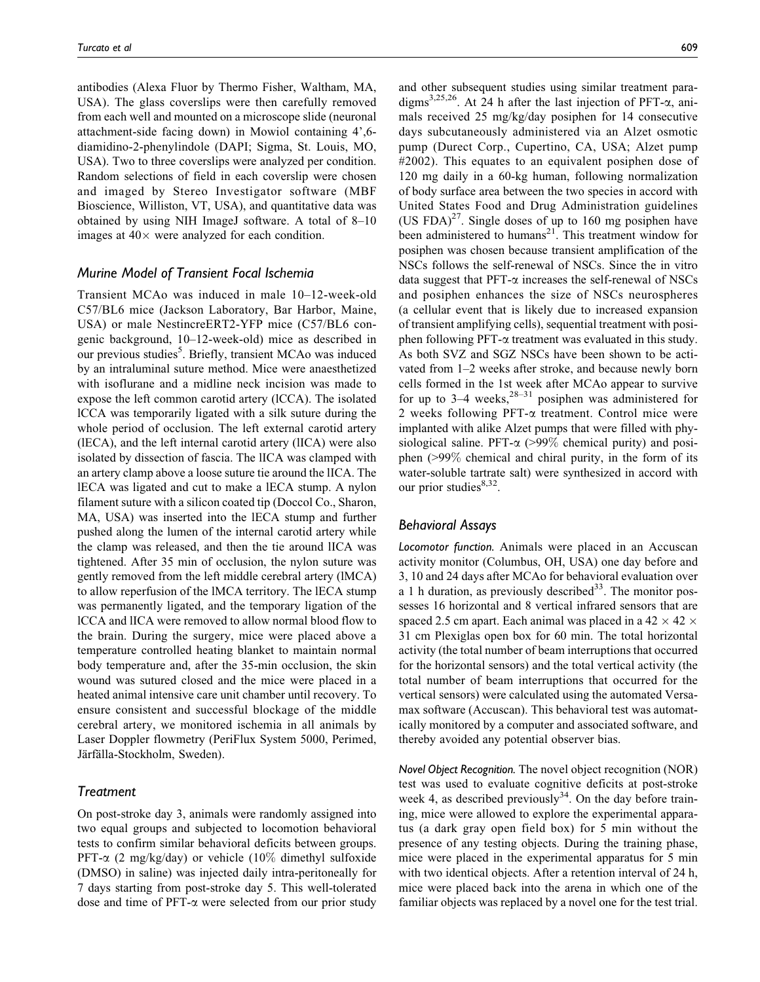antibodies (Alexa Fluor by Thermo Fisher, Waltham, MA, USA). The glass coverslips were then carefully removed from each well and mounted on a microscope slide (neuronal attachment-side facing down) in Mowiol containing 4',6 diamidino-2-phenylindole (DAPI; Sigma, St. Louis, MO, USA). Two to three coverslips were analyzed per condition. Random selections of field in each coverslip were chosen and imaged by Stereo Investigator software (MBF Bioscience, Williston, VT, USA), and quantitative data was obtained by using NIH ImageJ software. A total of 8–10 images at  $40\times$  were analyzed for each condition.

## Murine Model of Transient Focal Ischemia

Transient MCAo was induced in male 10–12-week-old C57/BL6 mice (Jackson Laboratory, Bar Harbor, Maine, USA) or male NestincreERT2-YFP mice (C57/BL6 congenic background, 10–12-week-old) mice as described in our previous studies<sup>5</sup>. Briefly, transient MCAo was induced by an intraluminal suture method. Mice were anaesthetized with isoflurane and a midline neck incision was made to expose the left common carotid artery (lCCA). The isolated lCCA was temporarily ligated with a silk suture during the whole period of occlusion. The left external carotid artery (lECA), and the left internal carotid artery (lICA) were also isolated by dissection of fascia. The lICA was clamped with an artery clamp above a loose suture tie around the lICA. The lECA was ligated and cut to make a lECA stump. A nylon filament suture with a silicon coated tip (Doccol Co., Sharon, MA, USA) was inserted into the lECA stump and further pushed along the lumen of the internal carotid artery while the clamp was released, and then the tie around lICA was tightened. After 35 min of occlusion, the nylon suture was gently removed from the left middle cerebral artery (lMCA) to allow reperfusion of the lMCA territory. The lECA stump was permanently ligated, and the temporary ligation of the lCCA and lICA were removed to allow normal blood flow to the brain. During the surgery, mice were placed above a temperature controlled heating blanket to maintain normal body temperature and, after the 35-min occlusion, the skin wound was sutured closed and the mice were placed in a heated animal intensive care unit chamber until recovery. To ensure consistent and successful blockage of the middle cerebral artery, we monitored ischemia in all animals by Laser Doppler flowmetry (PeriFlux System 5000, Perimed, Järfälla-Stockholm, Sweden).

## **Treatment**

On post-stroke day 3, animals were randomly assigned into two equal groups and subjected to locomotion behavioral tests to confirm similar behavioral deficits between groups. PFT- $\alpha$  (2 mg/kg/day) or vehicle (10% dimethyl sulfoxide (DMSO) in saline) was injected daily intra-peritoneally for 7 days starting from post-stroke day 5. This well-tolerated dose and time of  $PFT-\alpha$  were selected from our prior study

and other subsequent studies using similar treatment paradigms<sup>3,25,26</sup>. At 24 h after the last injection of PFT- $\alpha$ , animals received 25 mg/kg/day posiphen for 14 consecutive days subcutaneously administered via an Alzet osmotic pump (Durect Corp., Cupertino, CA, USA; Alzet pump #2002). This equates to an equivalent posiphen dose of 120 mg daily in a 60-kg human, following normalization of body surface area between the two species in accord with United States Food and Drug Administration guidelines (US FDA) $^{27}$ . Single doses of up to 160 mg posiphen have been administered to humans<sup>21</sup>. This treatment window for posiphen was chosen because transient amplification of the NSCs follows the self-renewal of NSCs. Since the in vitro data suggest that  $PFT-\alpha$  increases the self-renewal of NSCs and posiphen enhances the size of NSCs neurospheres (a cellular event that is likely due to increased expansion of transient amplifying cells), sequential treatment with posiphen following  $PFT-\alpha$  treatment was evaluated in this study. As both SVZ and SGZ NSCs have been shown to be activated from 1–2 weeks after stroke, and because newly born cells formed in the 1st week after MCAo appear to survive for up to  $3-4$  weeks,  $28-31$  posiphen was administered for 2 weeks following PFT- $\alpha$  treatment. Control mice were implanted with alike Alzet pumps that were filled with physiological saline. PFT- $\alpha$  (>99% chemical purity) and posiphen (>99% chemical and chiral purity, in the form of its water-soluble tartrate salt) were synthesized in accord with our prior studies $8,32$ .

## Behavioral Assays

Locomotor function. Animals were placed in an Accuscan activity monitor (Columbus, OH, USA) one day before and 3, 10 and 24 days after MCAo for behavioral evaluation over a 1 h duration, as previously described  $33$ . The monitor possesses 16 horizontal and 8 vertical infrared sensors that are spaced 2.5 cm apart. Each animal was placed in a 42  $\times$  42  $\times$ 31 cm Plexiglas open box for 60 min. The total horizontal activity (the total number of beam interruptions that occurred for the horizontal sensors) and the total vertical activity (the total number of beam interruptions that occurred for the vertical sensors) were calculated using the automated Versamax software (Accuscan). This behavioral test was automatically monitored by a computer and associated software, and thereby avoided any potential observer bias.

Novel Object Recognition. The novel object recognition (NOR) test was used to evaluate cognitive deficits at post-stroke week 4, as described previously $34$ . On the day before training, mice were allowed to explore the experimental apparatus (a dark gray open field box) for 5 min without the presence of any testing objects. During the training phase, mice were placed in the experimental apparatus for 5 min with two identical objects. After a retention interval of 24 h, mice were placed back into the arena in which one of the familiar objects was replaced by a novel one for the test trial.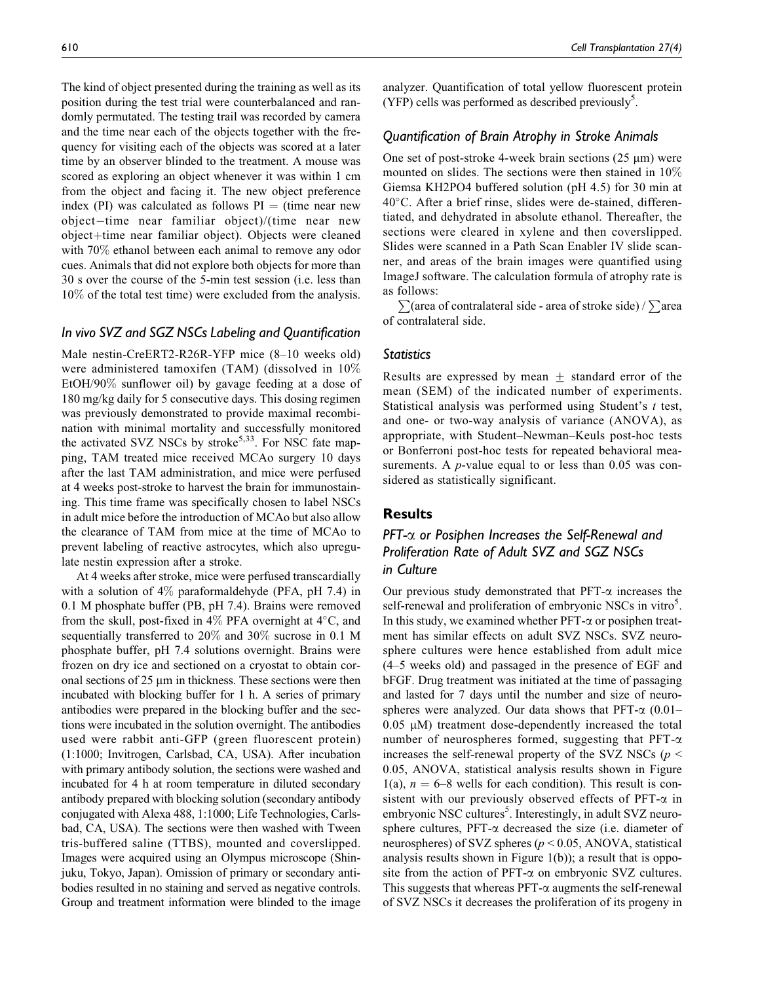The kind of object presented during the training as well as its position during the test trial were counterbalanced and randomly permutated. The testing trail was recorded by camera and the time near each of the objects together with the frequency for visiting each of the objects was scored at a later time by an observer blinded to the treatment. A mouse was scored as exploring an object whenever it was within 1 cm from the object and facing it. The new object preference index (PI) was calculated as follows  $PI = (time near new$  $object-time$  near familiar object)/(time near new object+time near familiar object). Objects were cleaned with 70% ethanol between each animal to remove any odor cues. Animals that did not explore both objects for more than 30 s over the course of the 5-min test session (i.e. less than 10% of the total test time) were excluded from the analysis.

## In vivo SVZ and SGZ NSCs Labeling and Quantification

Male nestin-CreERT2-R26R-YFP mice (8–10 weeks old) were administered tamoxifen (TAM) (dissolved in 10% EtOH/90% sunflower oil) by gavage feeding at a dose of 180 mg/kg daily for 5 consecutive days. This dosing regimen was previously demonstrated to provide maximal recombination with minimal mortality and successfully monitored the activated SVZ NSCs by stroke<sup>5,33</sup>. For NSC fate mapping, TAM treated mice received MCAo surgery 10 days after the last TAM administration, and mice were perfused at 4 weeks post-stroke to harvest the brain for immunostaining. This time frame was specifically chosen to label NSCs in adult mice before the introduction of MCAo but also allow the clearance of TAM from mice at the time of MCAo to prevent labeling of reactive astrocytes, which also upregulate nestin expression after a stroke.

At 4 weeks after stroke, mice were perfused transcardially with a solution of 4% paraformaldehyde (PFA, pH 7.4) in 0.1 M phosphate buffer (PB, pH 7.4). Brains were removed from the skull, post-fixed in  $4\%$  PFA overnight at  $4^{\circ}$ C, and sequentially transferred to 20% and 30% sucrose in 0.1 M phosphate buffer, pH 7.4 solutions overnight. Brains were frozen on dry ice and sectioned on a cryostat to obtain coronal sections of  $25 \mu m$  in thickness. These sections were then incubated with blocking buffer for 1 h. A series of primary antibodies were prepared in the blocking buffer and the sections were incubated in the solution overnight. The antibodies used were rabbit anti-GFP (green fluorescent protein) (1:1000; Invitrogen, Carlsbad, CA, USA). After incubation with primary antibody solution, the sections were washed and incubated for 4 h at room temperature in diluted secondary antibody prepared with blocking solution (secondary antibody conjugated with Alexa 488, 1:1000; Life Technologies, Carlsbad, CA, USA). The sections were then washed with Tween tris-buffered saline (TTBS), mounted and coverslipped. Images were acquired using an Olympus microscope (Shinjuku, Tokyo, Japan). Omission of primary or secondary antibodies resulted in no staining and served as negative controls. Group and treatment information were blinded to the image analyzer. Quantification of total yellow fluorescent protein (YFP) cells was performed as described previously<sup>5</sup>.

#### Quantification of Brain Atrophy in Stroke Animals

One set of post-stroke 4-week brain sections  $(25 \mu m)$  were mounted on slides. The sections were then stained in 10% Giemsa KH2PO4 buffered solution (pH 4.5) for 30 min at  $40^{\circ}$ C. After a brief rinse, slides were de-stained, differentiated, and dehydrated in absolute ethanol. Thereafter, the sections were cleared in xylene and then coverslipped. Slides were scanned in a Path Scan Enabler IV slide scanner, and areas of the brain images were quantified using ImageJ software. The calculation formula of atrophy rate is as follows:

 $\sum$ (area of contralateral side - area of stroke side) /  $\sum$ area of contralateral side.

## **Statistics**

Results are expressed by mean  $+$  standard error of the mean (SEM) of the indicated number of experiments. Statistical analysis was performed using Student's t test, and one- or two-way analysis of variance (ANOVA), as appropriate, with Student–Newman–Keuls post-hoc tests or Bonferroni post-hoc tests for repeated behavioral measurements. A  $p$ -value equal to or less than 0.05 was considered as statistically significant.

## Results

# PFT- $\alpha$  or Posiphen Increases the Self-Renewal and Proliferation Rate of Adult SVZ and SGZ NSCs in Culture

Our previous study demonstrated that  $PFT-\alpha$  increases the self-renewal and proliferation of embryonic NSCs in vitro<sup>5</sup>. In this study, we examined whether  $PFT-\alpha$  or posiphen treatment has similar effects on adult SVZ NSCs. SVZ neurosphere cultures were hence established from adult mice (4–5 weeks old) and passaged in the presence of EGF and bFGF. Drug treatment was initiated at the time of passaging and lasted for 7 days until the number and size of neurospheres were analyzed. Our data shows that  $PFT-\alpha$  (0.01–  $0.05 \mu M$ ) treatment dose-dependently increased the total number of neurospheres formed, suggesting that  $PFT-\alpha$ increases the self-renewal property of the SVZ NSCs ( $p$  < 0.05, ANOVA, statistical analysis results shown in Figure 1(a),  $n = 6-8$  wells for each condition). This result is consistent with our previously observed effects of PFT- $\alpha$  in embryonic NSC cultures<sup>5</sup>. Interestingly, in adult SVZ neurosphere cultures,  $PFT-\alpha$  decreased the size (i.e. diameter of neurospheres) of SVZ spheres ( $p \le 0.05$ , ANOVA, statistical analysis results shown in Figure 1(b)); a result that is opposite from the action of  $PFT-\alpha$  on embryonic SVZ cultures. This suggests that whereas  $PFT-\alpha$  augments the self-renewal of SVZ NSCs it decreases the proliferation of its progeny in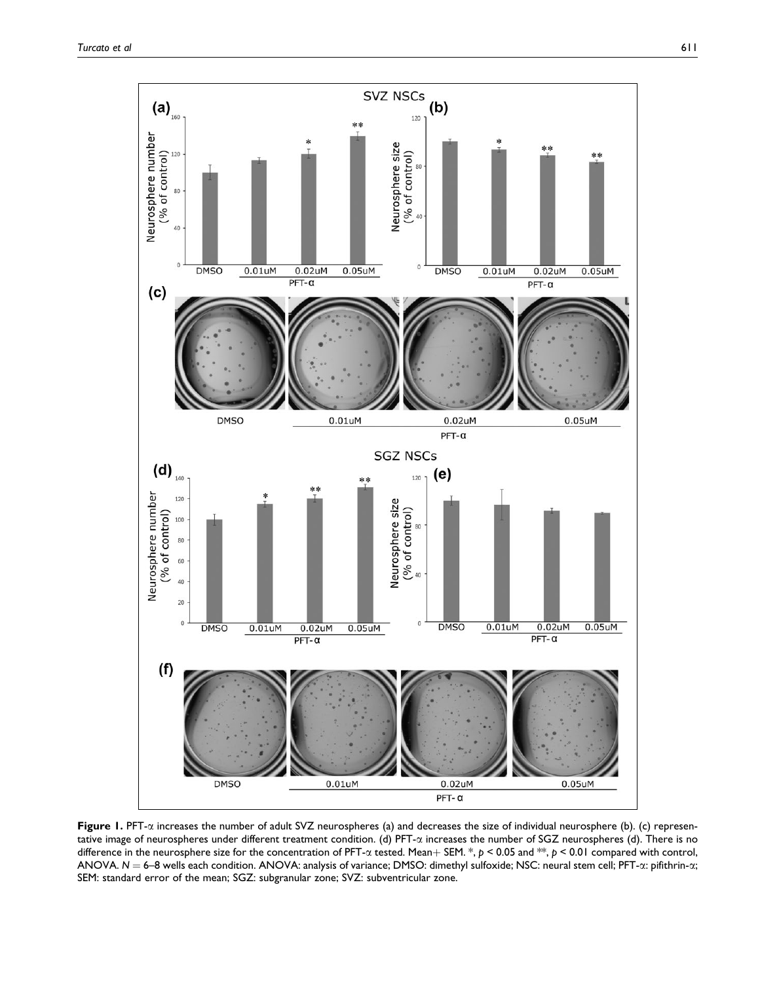

Figure 1. PFT- $\alpha$  increases the number of adult SVZ neurospheres (a) and decreases the size of individual neurosphere (b). (c) representative image of neurospheres under different treatment condition. (d) PFT- $\alpha$  increases the number of SGZ neurospheres (d). There is no difference in the neurosphere size for the concentration of PFT- $\alpha$  tested. Mean + SEM.  $*$ ,  $p < 0.05$  and  $**$ ,  $p < 0.01$  compared with control, ANOVA.  $N = 6-8$  wells each condition. ANOVA: analysis of variance; DMSO: dimethyl sulfoxide; NSC: neural stem cell; PFT- $\alpha$ : pifithrin- $\alpha$ ; SEM: standard error of the mean; SGZ: subgranular zone; SVZ: subventricular zone.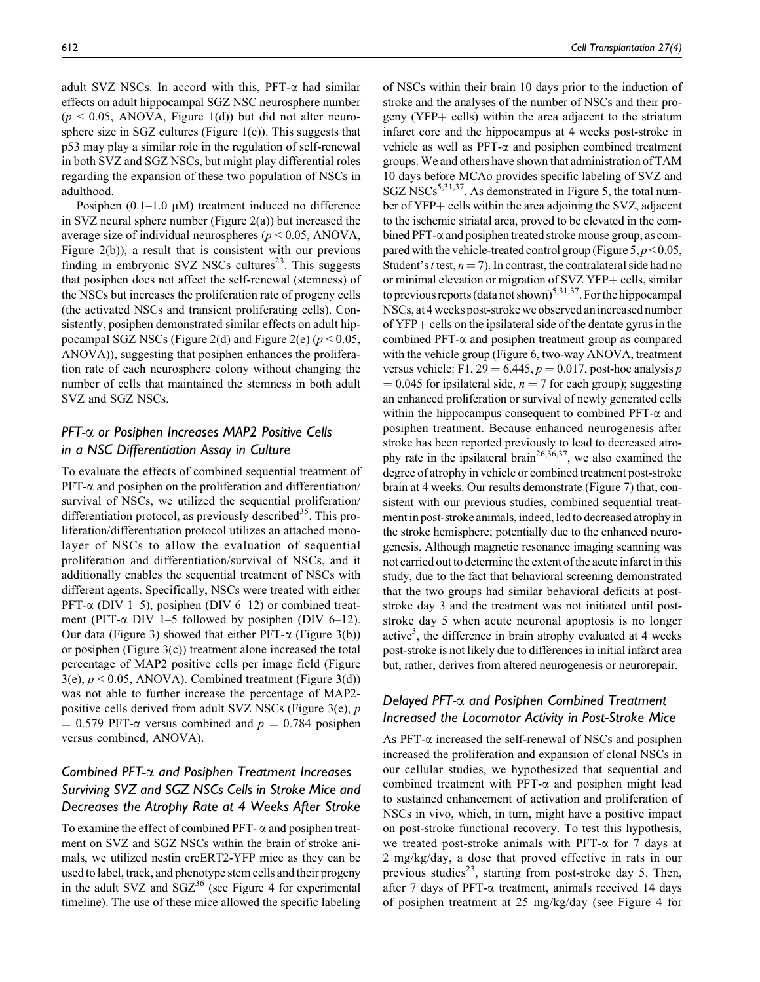adult SVZ NSCs. In accord with this,  $PFT-\alpha$  had similar effects on adult hippocampal SGZ NSC neurosphere number  $(p < 0.05, ANOVA, Figure 1(d))$  but did not alter neurosphere size in SGZ cultures (Figure  $1(e)$ ). This suggests that p53 may play a similar role in the regulation of self-renewal in both SVZ and SGZ NSCs, but might play differential roles regarding the expansion of these two population of NSCs in adulthood.

Posiphen  $(0.1-1.0 \mu M)$  treatment induced no difference in SVZ neural sphere number (Figure 2(a)) but increased the average size of individual neurospheres ( $p \le 0.05$ , ANOVA, Figure 2(b)), a result that is consistent with our previous finding in embryonic SVZ NSCs cultures<sup>23</sup>. This suggests that posiphen does not affect the self-renewal (stemness) of the NSCs but increases the proliferation rate of progeny cells (the activated NSCs and transient proliferating cells). Consistently, posiphen demonstrated similar effects on adult hippocampal SGZ NSCs (Figure 2(d) and Figure 2(e) ( $p < 0.05$ , ANOVA)), suggesting that posiphen enhances the proliferation rate of each neurosphere colony without changing the number of cells that maintained the stemness in both adult SVZ and SGZ NSCs.

# PFT-a or Posiphen Increases MAP2 Positive Cells in a NSC Differentiation Assay in Culture

To evaluate the effects of combined sequential treatment of  $PFT-\alpha$  and posiphen on the proliferation and differentiation/ survival of NSCs, we utilized the sequential proliferation/ differentiation protocol, as previously described<sup>35</sup>. This proliferation/differentiation protocol utilizes an attached monolayer of NSCs to allow the evaluation of sequential proliferation and differentiation/survival of NSCs, and it additionally enables the sequential treatment of NSCs with different agents. Specifically, NSCs were treated with either PFT- $\alpha$  (DIV 1–5), posiphen (DIV 6–12) or combined treatment (PFT- $\alpha$  DIV 1–5 followed by posiphen (DIV 6–12). Our data (Figure 3) showed that either PFT- $\alpha$  (Figure 3(b)) or posiphen (Figure 3(c)) treatment alone increased the total percentage of MAP2 positive cells per image field (Figure  $3(e)$ ,  $p < 0.05$ , ANOVA). Combined treatment (Figure 3(d)) was not able to further increase the percentage of MAP2 positive cells derived from adult SVZ NSCs (Figure 3(e), p  $= 0.579$  PFT- $\alpha$  versus combined and  $p = 0.784$  posiphen versus combined, ANOVA).

# Combined PFT-a and Posiphen Treatment Increases Surviving SVZ and SGZ NSCs Cells in Stroke Mice and Decreases the Atrophy Rate at 4 Weeks After Stroke

To examine the effect of combined PFT- $\alpha$  and posiphen treatment on SVZ and SGZ NSCs within the brain of stroke animals, we utilized nestin creERT2-YFP mice as they can be used to label, track, and phenotype stem cells and their progeny in the adult SVZ and  $SGZ^{36}$  (see Figure 4 for experimental timeline). The use of these mice allowed the specific labeling

of NSCs within their brain 10 days prior to the induction of stroke and the analyses of the number of NSCs and their progeny ( $YFP+$  cells) within the area adjacent to the striatum infarct core and the hippocampus at 4 weeks post-stroke in vehicle as well as  $PFT-\alpha$  and posiphen combined treatment groups. We and others have shown that administration of TAM 10 days before MCAo provides specific labeling of SVZ and  $SGZ NSCs<sup>5,31,37</sup>$ . As demonstrated in Figure 5, the total number of  $YFP+$  cells within the area adjoining the SVZ, adjacent to the ischemic striatal area, proved to be elevated in the combined PFT- $\alpha$  and posiphen treated stroke mouse group, as compared with the vehicle-treated control group (Figure  $5, p \le 0.05$ , Student's *t* test,  $n = 7$ ). In contrast, the contralateral side had no or minimal elevation or migration of SVZ YFP+ cells, similar to previous reports (data not shown)<sup>5,31,37</sup>. For the hippocampal NSCs, at 4 weeks post-stroke we observed an increased number of  $YFP+$  cells on the ipsilateral side of the dentate gyrus in the combined  $PFT-\alpha$  and posiphen treatment group as compared with the vehicle group (Figure 6, two-way ANOVA, treatment versus vehicle: F1, 29 = 6.445,  $p = 0.017$ , post-hoc analysis p  $= 0.045$  for ipsilateral side,  $n = 7$  for each group); suggesting an enhanced proliferation or survival of newly generated cells within the hippocampus consequent to combined  $PFT-\alpha$  and posiphen treatment. Because enhanced neurogenesis after stroke has been reported previously to lead to decreased atrophy rate in the ipsilateral brain<sup>26,36,37</sup>, we also examined the degree of atrophy in vehicle or combined treatment post-stroke brain at 4 weeks. Our results demonstrate (Figure 7) that, consistent with our previous studies, combined sequential treatment in post-stroke animals, indeed, led to decreased atrophy in the stroke hemisphere; potentially due to the enhanced neurogenesis. Although magnetic resonance imaging scanning was not carried out to determine the extent of the acute infarct in this study, due to the fact that behavioral screening demonstrated that the two groups had similar behavioral deficits at poststroke day 3 and the treatment was not initiated until poststroke day 5 when acute neuronal apoptosis is no longer active<sup>3</sup>, the difference in brain atrophy evaluated at 4 weeks post-stroke is not likely due to differences in initial infarct area but, rather, derives from altered neurogenesis or neurorepair.

# Delayed PFT- $\alpha$  and Posiphen Combined Treatment Increased the Locomotor Activity in Post-Stroke Mice

As  $PFT-\alpha$  increased the self-renewal of NSCs and posiphen increased the proliferation and expansion of clonal NSCs in our cellular studies, we hypothesized that sequential and combined treatment with PFT- $\alpha$  and posiphen might lead to sustained enhancement of activation and proliferation of NSCs in vivo, which, in turn, might have a positive impact on post-stroke functional recovery. To test this hypothesis, we treated post-stroke animals with PFT- $\alpha$  for 7 days at 2 mg/kg/day, a dose that proved effective in rats in our previous studies<sup>23</sup>, starting from post-stroke day 5. Then, after 7 days of PFT- $\alpha$  treatment, animals received 14 days of posiphen treatment at 25 mg/kg/day (see Figure 4 for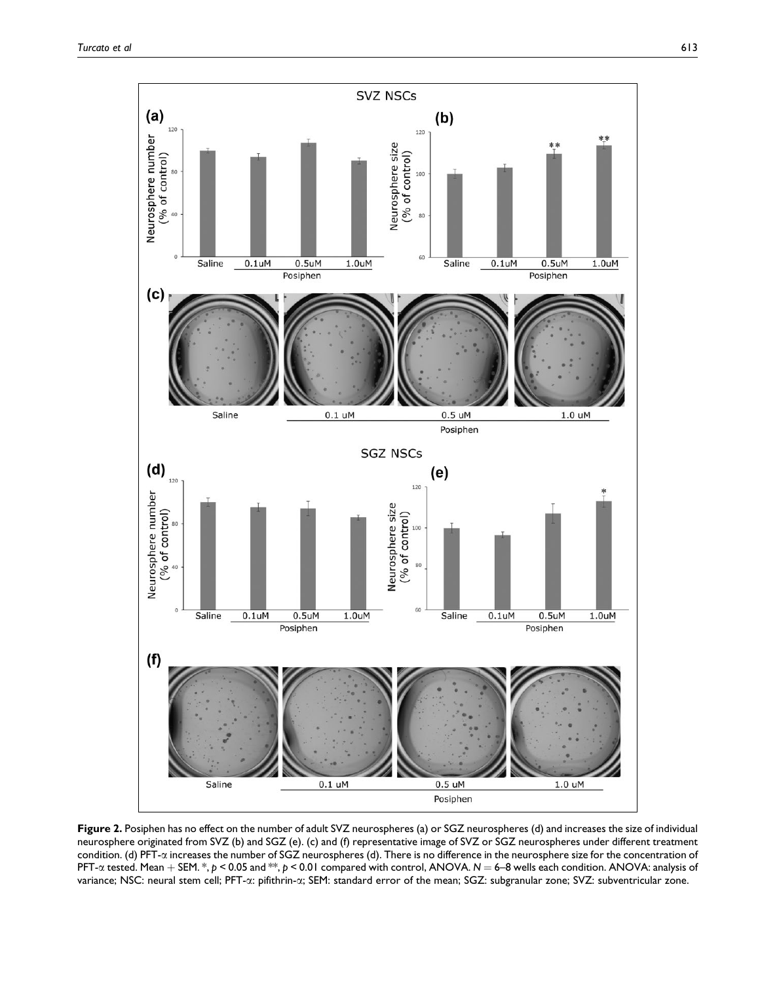

Figure 2. Posiphen has no effect on the number of adult SVZ neurospheres (a) or SGZ neurospheres (d) and increases the size of individual neurosphere originated from SVZ (b) and SGZ (e). (c) and (f) representative image of SVZ or SGZ neurospheres under different treatment condition. (d) PFT-a increases the number of SGZ neurospheres (d). There is no difference in the neurosphere size for the concentration of PFT- $\alpha$  tested. Mean + SEM. \*, p < 0.05 and \*\*, p < 0.01 compared with control, ANOVA. N = 6–8 wells each condition. ANOVA: analysis of variance; NSC: neural stem cell; PFT- $\alpha$ : pifithrin- $\alpha$ ; SEM: standard error of the mean; SGZ: subgranular zone; SVZ: subventricular zone.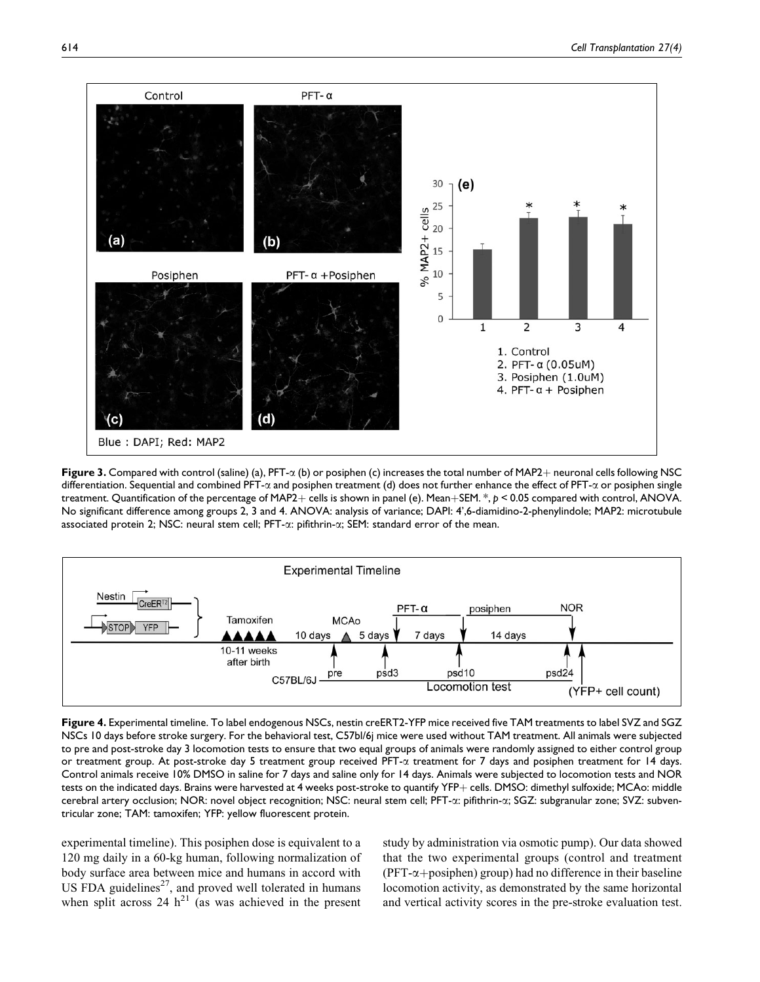

Figure 3. Compared with control (saline) (a),  $PFT-\alpha$  (b) or posiphen (c) increases the total number of MAP2+ neuronal cells following NSC differentiation. Sequential and combined PFT- $\alpha$  and posiphen treatment (d) does not further enhance the effect of PFT- $\alpha$  or posiphen single treatment. Quantification of the percentage of MAP2+ cells is shown in panel (e). Mean+SEM. \*,  $p < 0.05$  compared with control, ANOVA. No significant difference among groups 2, 3 and 4. ANOVA: analysis of variance; DAPI: 4',6-diamidino-2-phenylindole; MAP2: microtubule associated protein 2; NSC: neural stem cell; PFT- $\alpha$ : pifithrin- $\alpha$ ; SEM: standard error of the mean.



Figure 4. Experimental timeline. To label endogenous NSCs, nestin creERT2-YFP mice received five TAM treatments to label SVZ and SGZ NSCs 10 days before stroke surgery. For the behavioral test, C57bl/6j mice were used without TAM treatment. All animals were subjected to pre and post-stroke day 3 locomotion tests to ensure that two equal groups of animals were randomly assigned to either control group or treatment group. At post-stroke day 5 treatment group received PFT-a treatment for 7 days and posiphen treatment for 14 days. Control animals receive 10% DMSO in saline for 7 days and saline only for 14 days. Animals were subjected to locomotion tests and NOR tests on the indicated days. Brains were harvested at 4 weeks post-stroke to quantify YFP+ cells. DMSO: dimethyl sulfoxide; MCAo: middle cerebral artery occlusion; NOR: novel object recognition; NSC: neural stem cell; PFT-a: pifithrin-a; SGZ: subgranular zone; SVZ: subventricular zone; TAM: tamoxifen; YFP: yellow fluorescent protein.

experimental timeline). This posiphen dose is equivalent to a 120 mg daily in a 60-kg human, following normalization of body surface area between mice and humans in accord with US FDA guidelines<sup>27</sup>, and proved well tolerated in humans when split across 24  $h^{21}$  (as was achieved in the present

study by administration via osmotic pump). Our data showed that the two experimental groups (control and treatment ( $PFT-\alpha+\text{posiphen}$ ) group) had no difference in their baseline locomotion activity, as demonstrated by the same horizontal and vertical activity scores in the pre-stroke evaluation test.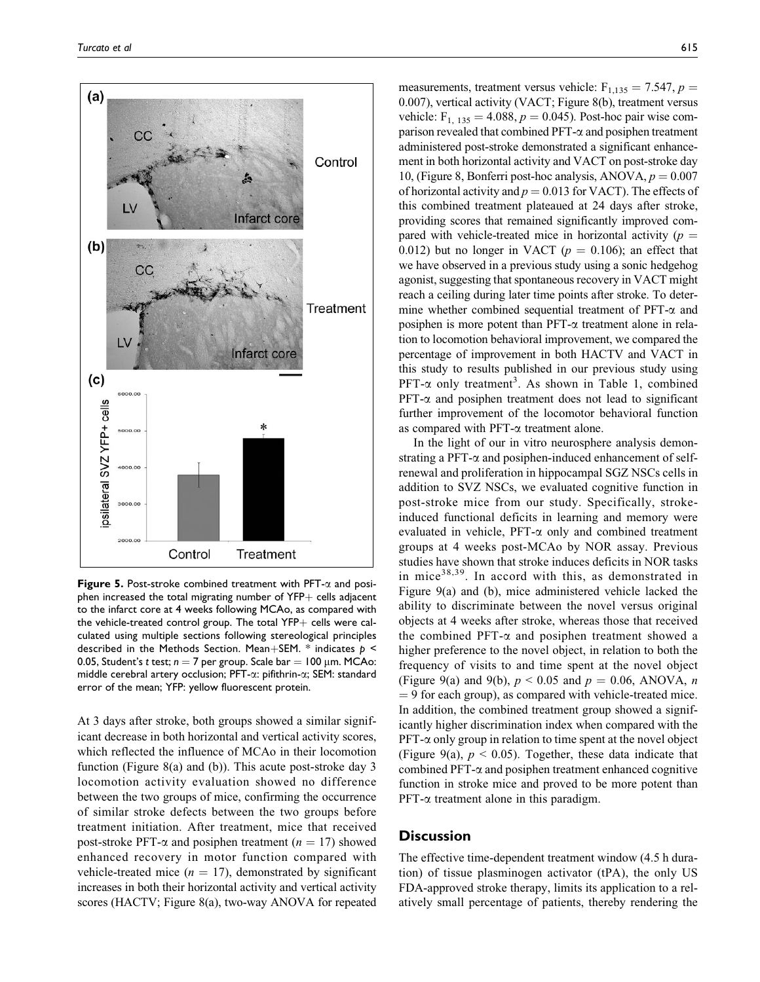

Figure 5. Post-stroke combined treatment with PFT- $\alpha$  and posiphen increased the total migrating number of  $YFP+$  cells adjacent to the infarct core at 4 weeks following MCAo, as compared with the vehicle-treated control group. The total  $YFP+$  cells were calculated using multiple sections following stereological principles described in the Methods Section. Mean+SEM. \* indicates  $p \leq$ 0.05, Student's t test;  $n = 7$  per group. Scale bar = 100 µm. MCAo: middle cerebral artery occlusion; PFT-a: pifithrin-a; SEM: standard error of the mean; YFP: yellow fluorescent protein.

At 3 days after stroke, both groups showed a similar significant decrease in both horizontal and vertical activity scores, which reflected the influence of MCAo in their locomotion function (Figure 8(a) and (b)). This acute post-stroke day 3 locomotion activity evaluation showed no difference between the two groups of mice, confirming the occurrence of similar stroke defects between the two groups before treatment initiation. After treatment, mice that received post-stroke PFT- $\alpha$  and posiphen treatment ( $n = 17$ ) showed enhanced recovery in motor function compared with vehicle-treated mice ( $n = 17$ ), demonstrated by significant increases in both their horizontal activity and vertical activity scores (HACTV; Figure 8(a), two-way ANOVA for repeated

measurements, treatment versus vehicle:  $F_{1,135} = 7.547$ ,  $p =$ 0.007), vertical activity (VACT; Figure 8(b), treatment versus vehicle:  $F_{1, 135} = 4.088, p = 0.045$ . Post-hoc pair wise comparison revealed that combined PFT- $\alpha$  and posiphen treatment administered post-stroke demonstrated a significant enhancement in both horizontal activity and VACT on post-stroke day 10, (Figure 8, Bonferri post-hoc analysis, ANOVA,  $p = 0.007$ of horizontal activity and  $p = 0.013$  for VACT). The effects of this combined treatment plateaued at 24 days after stroke, providing scores that remained significantly improved compared with vehicle-treated mice in horizontal activity ( $p =$ 0.012) but no longer in VACT ( $p = 0.106$ ); an effect that we have observed in a previous study using a sonic hedgehog agonist, suggesting that spontaneous recovery in VACT might reach a ceiling during later time points after stroke. To determine whether combined sequential treatment of  $PFT-\alpha$  and posiphen is more potent than  $PFT-\alpha$  treatment alone in relation to locomotion behavioral improvement, we compared the percentage of improvement in both HACTV and VACT in this study to results published in our previous study using PFT- $\alpha$  only treatment<sup>3</sup>. As shown in Table 1, combined  $PFT-\alpha$  and posiphen treatment does not lead to significant further improvement of the locomotor behavioral function as compared with PFT- $\alpha$  treatment alone.

In the light of our in vitro neurosphere analysis demonstrating a PFT- $\alpha$  and posiphen-induced enhancement of selfrenewal and proliferation in hippocampal SGZ NSCs cells in addition to SVZ NSCs, we evaluated cognitive function in post-stroke mice from our study. Specifically, strokeinduced functional deficits in learning and memory were evaluated in vehicle,  $PFT-\alpha$  only and combined treatment groups at 4 weeks post-MCAo by NOR assay. Previous studies have shown that stroke induces deficits in NOR tasks in mice<sup>38,39</sup>. In accord with this, as demonstrated in Figure 9(a) and (b), mice administered vehicle lacked the ability to discriminate between the novel versus original objects at 4 weeks after stroke, whereas those that received the combined PFT- $\alpha$  and posiphen treatment showed a higher preference to the novel object, in relation to both the frequency of visits to and time spent at the novel object (Figure 9(a) and 9(b),  $p < 0.05$  and  $p = 0.06$ , ANOVA, n  $= 9$  for each group), as compared with vehicle-treated mice. In addition, the combined treatment group showed a significantly higher discrimination index when compared with the  $PFT-\alpha$  only group in relation to time spent at the novel object (Figure 9(a),  $p < 0.05$ ). Together, these data indicate that combined  $PFT-\alpha$  and posiphen treatment enhanced cognitive function in stroke mice and proved to be more potent than  $PFT-\alpha$  treatment alone in this paradigm.

# **Discussion**

The effective time-dependent treatment window (4.5 h duration) of tissue plasminogen activator (tPA), the only US FDA-approved stroke therapy, limits its application to a relatively small percentage of patients, thereby rendering the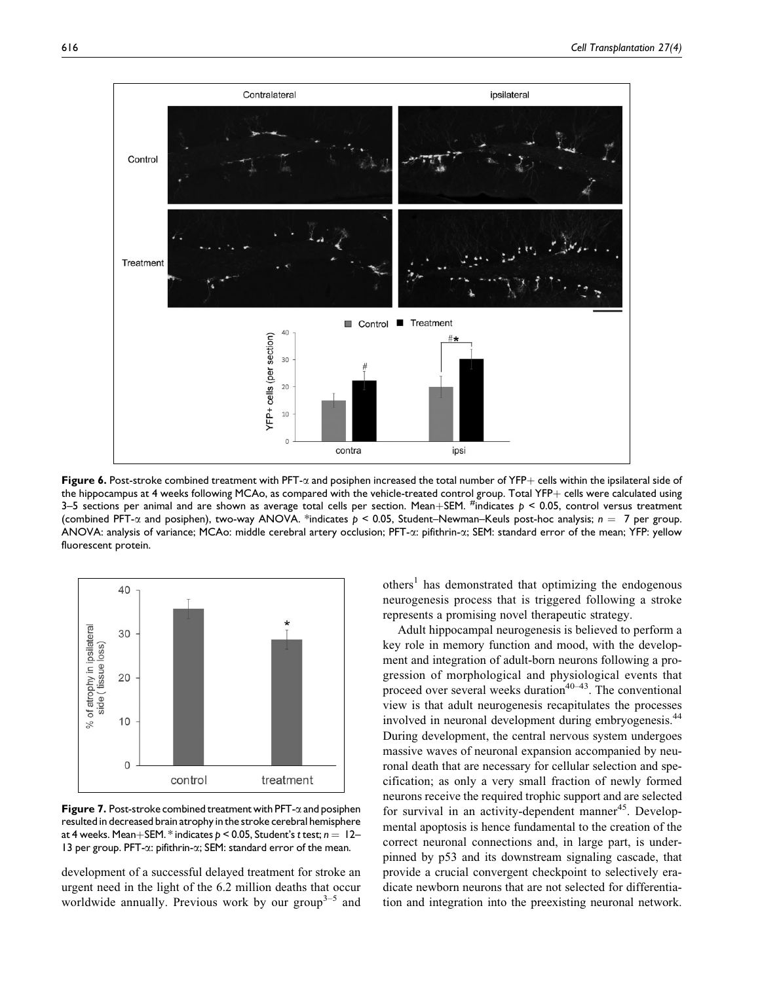

Figure 6. Post-stroke combined treatment with PFT- $\alpha$  and posiphen increased the total number of YFP+ cells within the ipsilateral side of the hippocampus at 4 weeks following MCAo, as compared with the vehicle-treated control group. Total YFP $+$  cells were calculated using 3–5 sections per animal and are shown as average total cells per section. Mean+SEM. <sup>#</sup>indicates  $p < 0.05$ , control versus treatment (combined PFT- $\alpha$  and posiphen), two-way ANOVA. \*indicates  $p < 0.05$ , Student–Newman–Keuls post-hoc analysis;  $n = 7$  per group. ANOVA: analysis of variance; MCAo: middle cerebral artery occlusion; PFT- $\alpha$ : pifithrin- $\alpha$ ; SEM: standard error of the mean; YFP: yellow fluorescent protein.



**Figure 7.** Post-stroke combined treatment with  $PFT-\alpha$  and posiphen resulted in decreased brain atrophy in the stroke cerebral hemisphere at 4 weeks. Mean+SEM. \* indicates  $p < 0.05$ , Student's t test;  $n = 12-$ 13 per group. PFT-a: pifithrin-a; SEM: standard error of the mean.

development of a successful delayed treatment for stroke an urgent need in the light of the 6.2 million deaths that occur worldwide annually. Previous work by our group<sup>3–5</sup> and  $others<sup>1</sup>$  has demonstrated that optimizing the endogenous neurogenesis process that is triggered following a stroke represents a promising novel therapeutic strategy.

Adult hippocampal neurogenesis is believed to perform a key role in memory function and mood, with the development and integration of adult-born neurons following a progression of morphological and physiological events that proceed over several weeks duration<sup>40–43</sup>. The conventional view is that adult neurogenesis recapitulates the processes involved in neuronal development during embryogenesis.<sup>44</sup> During development, the central nervous system undergoes massive waves of neuronal expansion accompanied by neuronal death that are necessary for cellular selection and specification; as only a very small fraction of newly formed neurons receive the required trophic support and are selected for survival in an activity-dependent manner<sup>45</sup>. Developmental apoptosis is hence fundamental to the creation of the correct neuronal connections and, in large part, is underpinned by p53 and its downstream signaling cascade, that provide a crucial convergent checkpoint to selectively eradicate newborn neurons that are not selected for differentiation and integration into the preexisting neuronal network.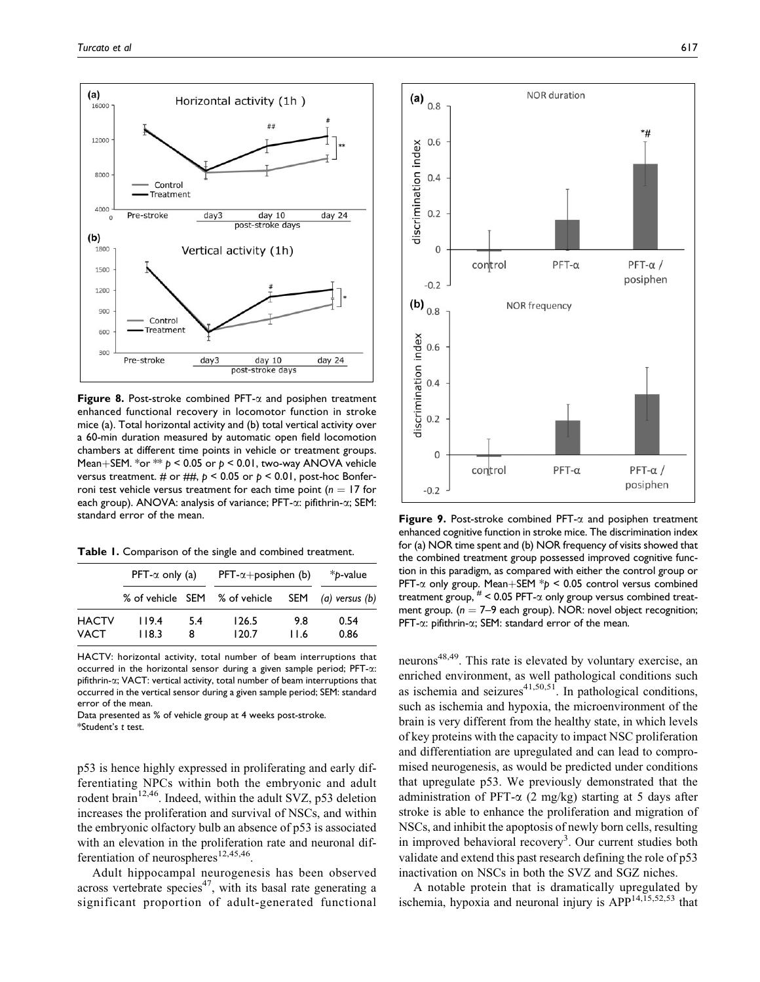

**Figure 8.** Post-stroke combined PFT- $\alpha$  and posiphen treatment enhanced functional recovery in locomotor function in stroke mice (a). Total horizontal activity and (b) total vertical activity over a 60-min duration measured by automatic open field locomotion chambers at different time points in vehicle or treatment groups. Mean+SEM. \*or \*\*  $p < 0.05$  or  $p < 0.01$ , two-way ANOVA vehicle versus treatment. # or ##,  $p < 0.05$  or  $p < 0.01$ , post-hoc Bonferroni test vehicle versus treatment for each time point ( $n = 17$  for each group). ANOVA: analysis of variance; PFT-α: pifithrin-α; SEM: standard error of the mean.

Table 1. Comparison of the single and combined treatment.

|              | $PFT-\alpha$ only (a) |     | $PFT-\alpha + position$ (b) |      | *b-value           |
|--------------|-----------------------|-----|-----------------------------|------|--------------------|
|              | % of vehicle SEM      |     | % of vehicle                | SEM  | $(a)$ versus $(b)$ |
| <b>HACTV</b> | 119.4                 | 5.4 | 126.5                       | 9.8  | 0.54               |
| VACT         | 118.3                 | 8   | 120.7                       | 11.6 | 0.86               |

HACTV: horizontal activity, total number of beam interruptions that occurred in the horizontal sensor during a given sample period; PFT-a: pifithrin-a; VACT: vertical activity, total number of beam interruptions that occurred in the vertical sensor during a given sample period; SEM: standard error of the mean.

Data presented as % of vehicle group at 4 weeks post-stroke. \*Student's t test.

p53 is hence highly expressed in proliferating and early differentiating NPCs within both the embryonic and adult rodent brain<sup>12,46</sup>. Indeed, within the adult SVZ, p53 deletion increases the proliferation and survival of NSCs, and within the embryonic olfactory bulb an absence of p53 is associated with an elevation in the proliferation rate and neuronal differentiation of neurospheres<sup>12,45,46</sup>.

Adult hippocampal neurogenesis has been observed across vertebrate species<sup>47</sup>, with its basal rate generating a significant proportion of adult-generated functional



**Figure 9.** Post-stroke combined PFT- $\alpha$  and posiphen treatment enhanced cognitive function in stroke mice. The discrimination index for (a) NOR time spent and (b) NOR frequency of visits showed that the combined treatment group possessed improved cognitive function in this paradigm, as compared with either the control group or PFT- $\alpha$  only group. Mean+SEM  $*p < 0.05$  control versus combined treatment group,  $#$  < 0.05 PFT- $\alpha$  only group versus combined treatment group. ( $n = 7-9$  each group). NOR: novel object recognition; PFT-a: pifithrin-a; SEM: standard error of the mean.

neurons<sup>48,49</sup>. This rate is elevated by voluntary exercise, an enriched environment, as well pathological conditions such as ischemia and seizures<sup>41,50,51</sup>. In pathological conditions, such as ischemia and hypoxia, the microenvironment of the brain is very different from the healthy state, in which levels of key proteins with the capacity to impact NSC proliferation and differentiation are upregulated and can lead to compromised neurogenesis, as would be predicted under conditions that upregulate p53. We previously demonstrated that the administration of PFT- $\alpha$  (2 mg/kg) starting at 5 days after stroke is able to enhance the proliferation and migration of NSCs, and inhibit the apoptosis of newly born cells, resulting in improved behavioral recovery<sup>3</sup>. Our current studies both validate and extend this past research defining the role of p53 inactivation on NSCs in both the SVZ and SGZ niches.

A notable protein that is dramatically upregulated by ischemia, hypoxia and neuronal injury is  $APP^{14,15,52,53}$  that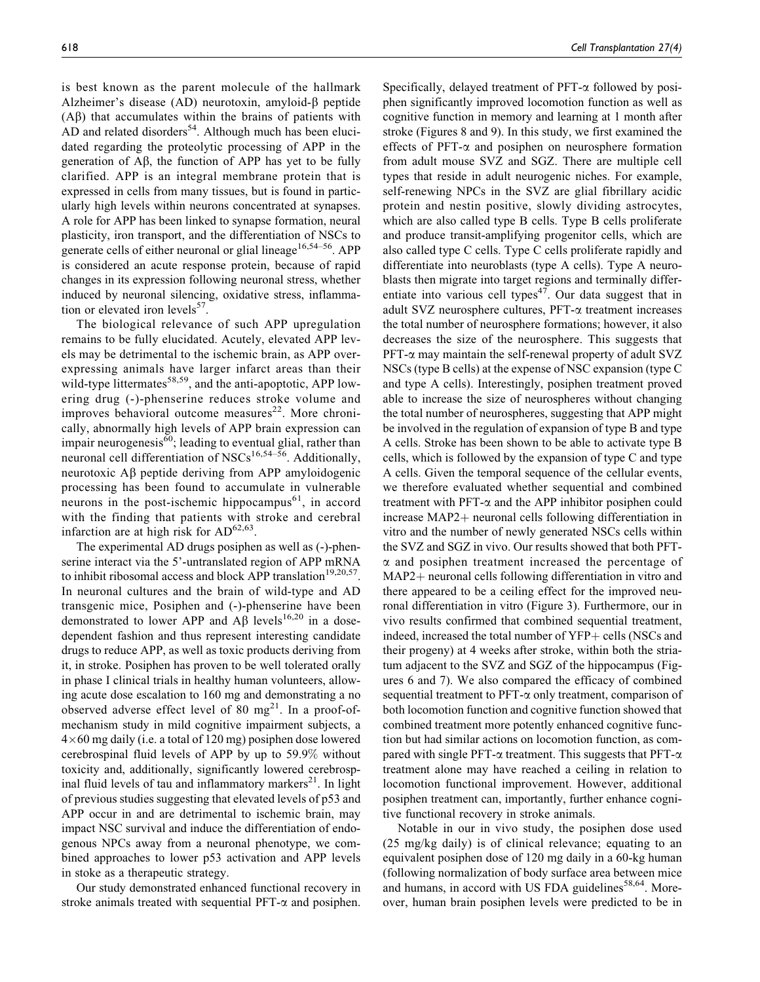is best known as the parent molecule of the hallmark Alzheimer's disease (AD) neurotoxin, amyloid- $\beta$  peptide  $(A\beta)$  that accumulates within the brains of patients with AD and related disorders<sup>54</sup>. Although much has been elucidated regarding the proteolytic processing of APP in the generation of  $\mathbf{A}\beta$ , the function of APP has yet to be fully clarified. APP is an integral membrane protein that is expressed in cells from many tissues, but is found in particularly high levels within neurons concentrated at synapses. A role for APP has been linked to synapse formation, neural plasticity, iron transport, and the differentiation of NSCs to generate cells of either neuronal or glial lineage<sup>16,54–56</sup>. APP is considered an acute response protein, because of rapid changes in its expression following neuronal stress, whether induced by neuronal silencing, oxidative stress, inflammation or elevated iron levels $57$ .

The biological relevance of such APP upregulation remains to be fully elucidated. Acutely, elevated APP levels may be detrimental to the ischemic brain, as APP overexpressing animals have larger infarct areas than their wild-type littermates<sup>58,59</sup>, and the anti-apoptotic, APP lowering drug (-)-phenserine reduces stroke volume and improves behavioral outcome measures $^{22}$ . More chronically, abnormally high levels of APP brain expression can impair neurogenesis<sup>60</sup>; leading to eventual glial, rather than neuronal cell differentiation of NSCs<sup>16,54–56</sup>. Additionally, neurotoxic  $\overrightarrow{AB}$  peptide deriving from APP amyloidogenic processing has been found to accumulate in vulnerable neurons in the post-ischemic hippocampus $^{61}$ , in accord with the finding that patients with stroke and cerebral infarction are at high risk for  $AD^{62,63}$ .

The experimental AD drugs posiphen as well as (-)-phenserine interact via the 5'-untranslated region of APP mRNA to inhibit ribosomal access and block APP translation<sup>19,20,57</sup>. In neuronal cultures and the brain of wild-type and AD transgenic mice, Posiphen and (-)-phenserine have been demonstrated to lower APP and  $\widehat{AB}$  levels<sup>16,20</sup> in a dosedependent fashion and thus represent interesting candidate drugs to reduce APP, as well as toxic products deriving from it, in stroke. Posiphen has proven to be well tolerated orally in phase I clinical trials in healthy human volunteers, allowing acute dose escalation to 160 mg and demonstrating a no observed adverse effect level of 80  $mg^{21}$ . In a proof-ofmechanism study in mild cognitive impairment subjects, a 4-60 mg daily (i.e. a total of 120 mg) posiphen dose lowered cerebrospinal fluid levels of APP by up to 59.9% without toxicity and, additionally, significantly lowered cerebrospinal fluid levels of tau and inflammatory markers $21$ . In light of previous studies suggesting that elevated levels of p53 and APP occur in and are detrimental to ischemic brain, may impact NSC survival and induce the differentiation of endogenous NPCs away from a neuronal phenotype, we combined approaches to lower p53 activation and APP levels in stoke as a therapeutic strategy.

Our study demonstrated enhanced functional recovery in stroke animals treated with sequential  $PFT-\alpha$  and posiphen. Specifically, delayed treatment of  $PFT-\alpha$  followed by posiphen significantly improved locomotion function as well as cognitive function in memory and learning at 1 month after stroke (Figures 8 and 9). In this study, we first examined the effects of PFT- $\alpha$  and posiphen on neurosphere formation from adult mouse SVZ and SGZ. There are multiple cell types that reside in adult neurogenic niches. For example, self-renewing NPCs in the SVZ are glial fibrillary acidic protein and nestin positive, slowly dividing astrocytes, which are also called type B cells. Type B cells proliferate and produce transit-amplifying progenitor cells, which are also called type C cells. Type C cells proliferate rapidly and differentiate into neuroblasts (type A cells). Type A neuroblasts then migrate into target regions and terminally differentiate into various cell types<sup>47</sup>. Our data suggest that in adult SVZ neurosphere cultures, PFT-a treatment increases the total number of neurosphere formations; however, it also decreases the size of the neurosphere. This suggests that  $PFT-\alpha$  may maintain the self-renewal property of adult SVZ NSCs (type B cells) at the expense of NSC expansion (type C and type A cells). Interestingly, posiphen treatment proved able to increase the size of neurospheres without changing the total number of neurospheres, suggesting that APP might be involved in the regulation of expansion of type B and type A cells. Stroke has been shown to be able to activate type B cells, which is followed by the expansion of type C and type A cells. Given the temporal sequence of the cellular events, we therefore evaluated whether sequential and combined treatment with  $PFT-\alpha$  and the APP inhibitor posiphen could  $increase MAP2+$  neuronal cells following differentiation in vitro and the number of newly generated NSCs cells within the SVZ and SGZ in vivo. Our results showed that both PFT- $\alpha$  and posiphen treatment increased the percentage of  $MAP2+$  neuronal cells following differentiation in vitro and there appeared to be a ceiling effect for the improved neuronal differentiation in vitro (Figure 3). Furthermore, our in vivo results confirmed that combined sequential treatment, indeed, increased the total number of  $YFP +$  cells (NSCs and their progeny) at 4 weeks after stroke, within both the striatum adjacent to the SVZ and SGZ of the hippocampus (Figures 6 and 7). We also compared the efficacy of combined sequential treatment to  $PFT-\alpha$  only treatment, comparison of both locomotion function and cognitive function showed that combined treatment more potently enhanced cognitive function but had similar actions on locomotion function, as compared with single PFT- $\alpha$  treatment. This suggests that PFT- $\alpha$ treatment alone may have reached a ceiling in relation to locomotion functional improvement. However, additional posiphen treatment can, importantly, further enhance cognitive functional recovery in stroke animals.

Notable in our in vivo study, the posiphen dose used (25 mg/kg daily) is of clinical relevance; equating to an equivalent posiphen dose of 120 mg daily in a 60-kg human (following normalization of body surface area between mice and humans, in accord with US FDA guidelines<sup>58,64</sup>. Moreover, human brain posiphen levels were predicted to be in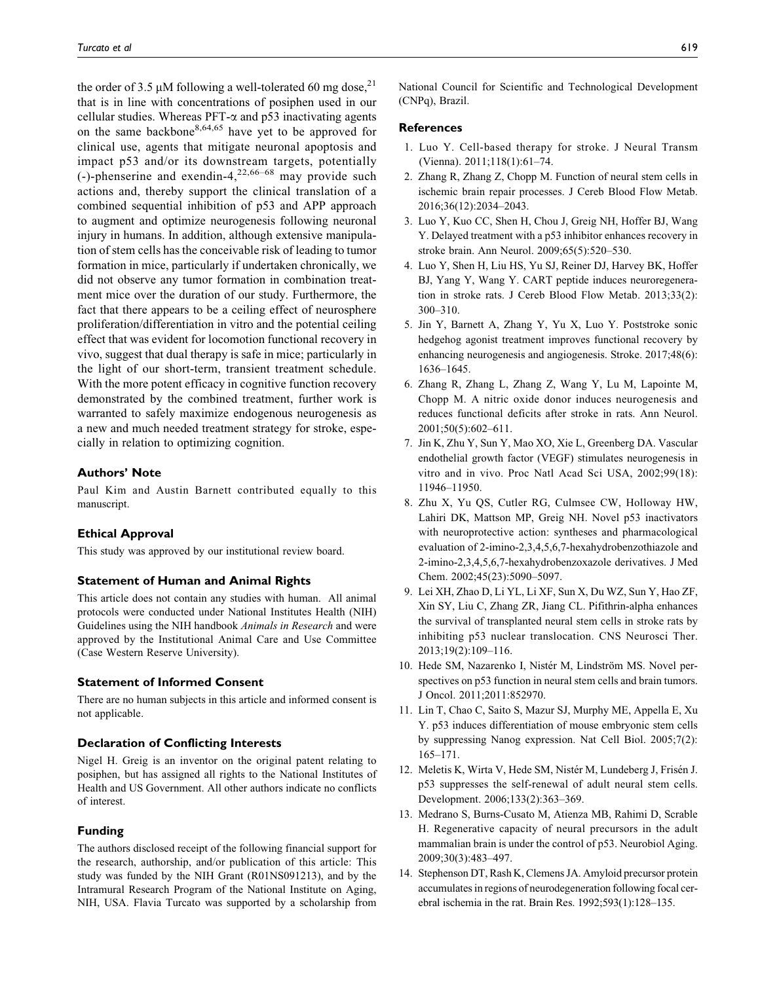the order of 3.5  $\mu$ M following a well-tolerated 60 mg dose,<sup>21</sup> that is in line with concentrations of posiphen used in our cellular studies. Whereas  $PFT-\alpha$  and p53 inactivating agents on the same backbone<sup>8,64,65</sup> have yet to be approved for clinical use, agents that mitigate neuronal apoptosis and impact p53 and/or its downstream targets, potentially (-)-phenserine and exendin-4,<sup>22,66–68</sup> may provide such actions and, thereby support the clinical translation of a combined sequential inhibition of p53 and APP approach to augment and optimize neurogenesis following neuronal injury in humans. In addition, although extensive manipulation of stem cells has the conceivable risk of leading to tumor formation in mice, particularly if undertaken chronically, we did not observe any tumor formation in combination treatment mice over the duration of our study. Furthermore, the fact that there appears to be a ceiling effect of neurosphere proliferation/differentiation in vitro and the potential ceiling effect that was evident for locomotion functional recovery in vivo, suggest that dual therapy is safe in mice; particularly in the light of our short-term, transient treatment schedule. With the more potent efficacy in cognitive function recovery demonstrated by the combined treatment, further work is warranted to safely maximize endogenous neurogenesis as a new and much needed treatment strategy for stroke, especially in relation to optimizing cognition.

#### Authors' Note

Paul Kim and Austin Barnett contributed equally to this manuscript.

#### Ethical Approval

This study was approved by our institutional review board.

#### Statement of Human and Animal Rights

This article does not contain any studies with human. All animal protocols were conducted under National Institutes Health (NIH) Guidelines using the NIH handbook Animals in Research and were approved by the Institutional Animal Care and Use Committee (Case Western Reserve University).

#### Statement of Informed Consent

There are no human subjects in this article and informed consent is not applicable.

#### Declaration of Conflicting Interests

Nigel H. Greig is an inventor on the original patent relating to posiphen, but has assigned all rights to the National Institutes of Health and US Government. All other authors indicate no conflicts of interest.

#### Funding

The authors disclosed receipt of the following financial support for the research, authorship, and/or publication of this article: This study was funded by the NIH Grant (R01NS091213), and by the Intramural Research Program of the National Institute on Aging, NIH, USA. Flavia Turcato was supported by a scholarship from National Council for Scientific and Technological Development (CNPq), Brazil.

#### **References**

- 1. Luo Y. Cell-based therapy for stroke. J Neural Transm (Vienna). 2011;118(1):61–74.
- 2. Zhang R, Zhang Z, Chopp M. Function of neural stem cells in ischemic brain repair processes. J Cereb Blood Flow Metab. 2016;36(12):2034–2043.
- 3. Luo Y, Kuo CC, Shen H, Chou J, Greig NH, Hoffer BJ, Wang Y. Delayed treatment with a p53 inhibitor enhances recovery in stroke brain. Ann Neurol. 2009;65(5):520–530.
- 4. Luo Y, Shen H, Liu HS, Yu SJ, Reiner DJ, Harvey BK, Hoffer BJ, Yang Y, Wang Y. CART peptide induces neuroregeneration in stroke rats. J Cereb Blood Flow Metab. 2013;33(2): 300–310.
- 5. Jin Y, Barnett A, Zhang Y, Yu X, Luo Y. Poststroke sonic hedgehog agonist treatment improves functional recovery by enhancing neurogenesis and angiogenesis. Stroke. 2017;48(6): 1636–1645.
- 6. Zhang R, Zhang L, Zhang Z, Wang Y, Lu M, Lapointe M, Chopp M. A nitric oxide donor induces neurogenesis and reduces functional deficits after stroke in rats. Ann Neurol. 2001;50(5):602–611.
- 7. Jin K, Zhu Y, Sun Y, Mao XO, Xie L, Greenberg DA. Vascular endothelial growth factor (VEGF) stimulates neurogenesis in vitro and in vivo. Proc Natl Acad Sci USA, 2002;99(18): 11946–11950.
- 8. Zhu X, Yu QS, Cutler RG, Culmsee CW, Holloway HW, Lahiri DK, Mattson MP, Greig NH. Novel p53 inactivators with neuroprotective action: syntheses and pharmacological evaluation of 2-imino-2,3,4,5,6,7-hexahydrobenzothiazole and 2-imino-2,3,4,5,6,7-hexahydrobenzoxazole derivatives. J Med Chem. 2002;45(23):5090–5097.
- 9. Lei XH, Zhao D, Li YL, Li XF, Sun X, Du WZ, Sun Y, Hao ZF, Xin SY, Liu C, Zhang ZR, Jiang CL. Pifithrin-alpha enhances the survival of transplanted neural stem cells in stroke rats by inhibiting p53 nuclear translocation. CNS Neurosci Ther. 2013;19(2):109–116.
- 10. Hede SM, Nazarenko I, Nistér M, Lindström MS. Novel perspectives on p53 function in neural stem cells and brain tumors. J Oncol. 2011;2011:852970.
- 11. Lin T, Chao C, Saito S, Mazur SJ, Murphy ME, Appella E, Xu Y. p53 induces differentiation of mouse embryonic stem cells by suppressing Nanog expression. Nat Cell Biol. 2005;7(2): 165–171.
- 12. Meletis K, Wirta V, Hede SM, Nistér M, Lundeberg J, Frisén J. p53 suppresses the self-renewal of adult neural stem cells. Development. 2006;133(2):363–369.
- 13. Medrano S, Burns-Cusato M, Atienza MB, Rahimi D, Scrable H. Regenerative capacity of neural precursors in the adult mammalian brain is under the control of p53. Neurobiol Aging. 2009;30(3):483–497.
- 14. Stephenson DT, Rash K, Clemens JA. Amyloid precursor protein accumulates in regions of neurodegeneration following focal cerebral ischemia in the rat. Brain Res. 1992;593(1):128–135.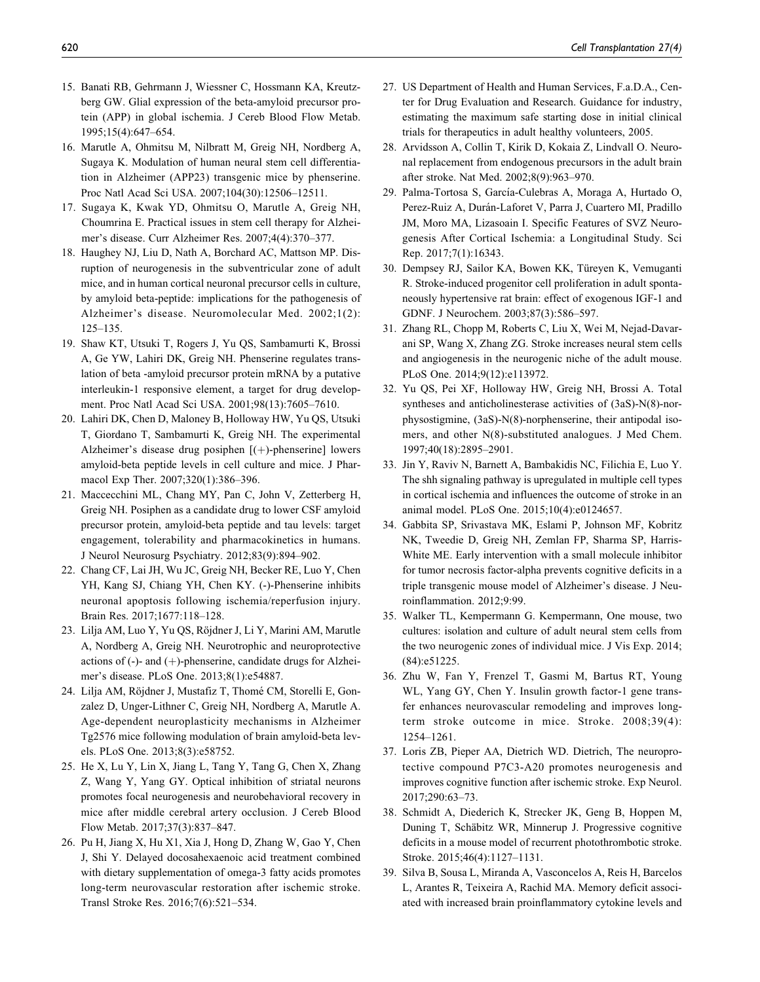- 15. Banati RB, Gehrmann J, Wiessner C, Hossmann KA, Kreutzberg GW. Glial expression of the beta-amyloid precursor protein (APP) in global ischemia. J Cereb Blood Flow Metab. 1995;15(4):647–654.
- 16. Marutle A, Ohmitsu M, Nilbratt M, Greig NH, Nordberg A, Sugaya K. Modulation of human neural stem cell differentiation in Alzheimer (APP23) transgenic mice by phenserine. Proc Natl Acad Sci USA. 2007;104(30):12506–12511.
- 17. Sugaya K, Kwak YD, Ohmitsu O, Marutle A, Greig NH, Choumrina E. Practical issues in stem cell therapy for Alzheimer's disease. Curr Alzheimer Res. 2007;4(4):370–377.
- 18. Haughey NJ, Liu D, Nath A, Borchard AC, Mattson MP. Disruption of neurogenesis in the subventricular zone of adult mice, and in human cortical neuronal precursor cells in culture, by amyloid beta-peptide: implications for the pathogenesis of Alzheimer's disease. Neuromolecular Med. 2002;1(2): 125–135.
- 19. Shaw KT, Utsuki T, Rogers J, Yu QS, Sambamurti K, Brossi A, Ge YW, Lahiri DK, Greig NH. Phenserine regulates translation of beta -amyloid precursor protein mRNA by a putative interleukin-1 responsive element, a target for drug development. Proc Natl Acad Sci USA. 2001;98(13):7605–7610.
- 20. Lahiri DK, Chen D, Maloney B, Holloway HW, Yu QS, Utsuki T, Giordano T, Sambamurti K, Greig NH. The experimental Alzheimer's disease drug posiphen  $[ (+)-$ phenserine] lowers amyloid-beta peptide levels in cell culture and mice. J Pharmacol Exp Ther. 2007;320(1):386–396.
- 21. Maccecchini ML, Chang MY, Pan C, John V, Zetterberg H, Greig NH. Posiphen as a candidate drug to lower CSF amyloid precursor protein, amyloid-beta peptide and tau levels: target engagement, tolerability and pharmacokinetics in humans. J Neurol Neurosurg Psychiatry. 2012;83(9):894–902.
- 22. Chang CF, Lai JH, Wu JC, Greig NH, Becker RE, Luo Y, Chen YH, Kang SJ, Chiang YH, Chen KY. (-)-Phenserine inhibits neuronal apoptosis following ischemia/reperfusion injury. Brain Res. 2017;1677:118–128.
- 23. Lilja AM, Luo Y, Yu QS, Röjdner J, Li Y, Marini AM, Marutle A, Nordberg A, Greig NH. Neurotrophic and neuroprotective actions of  $(-)$ - and  $(+)$ -phenserine, candidate drugs for Alzheimer's disease. PLoS One. 2013;8(1):e54887.
- 24. Lilja AM, Röjdner J, Mustafiz T, Thomé CM, Storelli E, Gonzalez D, Unger-Lithner C, Greig NH, Nordberg A, Marutle A. Age-dependent neuroplasticity mechanisms in Alzheimer Tg2576 mice following modulation of brain amyloid-beta levels. PLoS One. 2013;8(3):e58752.
- 25. He X, Lu Y, Lin X, Jiang L, Tang Y, Tang G, Chen X, Zhang Z, Wang Y, Yang GY. Optical inhibition of striatal neurons promotes focal neurogenesis and neurobehavioral recovery in mice after middle cerebral artery occlusion. J Cereb Blood Flow Metab. 2017;37(3):837–847.
- 26. Pu H, Jiang X, Hu X1, Xia J, Hong D, Zhang W, Gao Y, Chen J, Shi Y. Delayed docosahexaenoic acid treatment combined with dietary supplementation of omega-3 fatty acids promotes long-term neurovascular restoration after ischemic stroke. Transl Stroke Res. 2016;7(6):521–534.
- 27. US Department of Health and Human Services, F.a.D.A., Center for Drug Evaluation and Research. Guidance for industry, estimating the maximum safe starting dose in initial clinical trials for therapeutics in adult healthy volunteers, 2005.
- 28. Arvidsson A, Collin T, Kirik D, Kokaia Z, Lindvall O. Neuronal replacement from endogenous precursors in the adult brain after stroke. Nat Med. 2002;8(9):963–970.
- 29. Palma-Tortosa S, García-Culebras A, Moraga A, Hurtado O, Perez-Ruiz A, Durán-Laforet V, Parra J, Cuartero MI, Pradillo JM, Moro MA, Lizasoain I. Specific Features of SVZ Neurogenesis After Cortical Ischemia: a Longitudinal Study. Sci Rep. 2017;7(1):16343.
- 30. Dempsey RJ, Sailor KA, Bowen KK, Türeyen K, Vemuganti R. Stroke-induced progenitor cell proliferation in adult spontaneously hypertensive rat brain: effect of exogenous IGF-1 and GDNF. J Neurochem. 2003;87(3):586–597.
- 31. Zhang RL, Chopp M, Roberts C, Liu X, Wei M, Nejad-Davarani SP, Wang X, Zhang ZG. Stroke increases neural stem cells and angiogenesis in the neurogenic niche of the adult mouse. PLoS One. 2014;9(12):e113972.
- 32. Yu QS, Pei XF, Holloway HW, Greig NH, Brossi A. Total syntheses and anticholinesterase activities of (3aS)-N(8)-norphysostigmine, (3aS)-N(8)-norphenserine, their antipodal isomers, and other N(8)-substituted analogues. J Med Chem. 1997;40(18):2895–2901.
- 33. Jin Y, Raviv N, Barnett A, Bambakidis NC, Filichia E, Luo Y. The shh signaling pathway is upregulated in multiple cell types in cortical ischemia and influences the outcome of stroke in an animal model. PLoS One. 2015;10(4):e0124657.
- 34. Gabbita SP, Srivastava MK, Eslami P, Johnson MF, Kobritz NK, Tweedie D, Greig NH, Zemlan FP, Sharma SP, Harris-White ME. Early intervention with a small molecule inhibitor for tumor necrosis factor-alpha prevents cognitive deficits in a triple transgenic mouse model of Alzheimer's disease. J Neuroinflammation. 2012;9:99.
- 35. Walker TL, Kempermann G. Kempermann, One mouse, two cultures: isolation and culture of adult neural stem cells from the two neurogenic zones of individual mice. J Vis Exp. 2014; (84):e51225.
- 36. Zhu W, Fan Y, Frenzel T, Gasmi M, Bartus RT, Young WL, Yang GY, Chen Y. Insulin growth factor-1 gene transfer enhances neurovascular remodeling and improves longterm stroke outcome in mice. Stroke. 2008;39(4): 1254–1261.
- 37. Loris ZB, Pieper AA, Dietrich WD. Dietrich, The neuroprotective compound P7C3-A20 promotes neurogenesis and improves cognitive function after ischemic stroke. Exp Neurol. 2017;290:63–73.
- 38. Schmidt A, Diederich K, Strecker JK, Geng B, Hoppen M, Duning T, Schäbitz WR, Minnerup J. Progressive cognitive deficits in a mouse model of recurrent photothrombotic stroke. Stroke. 2015;46(4):1127–1131.
- 39. Silva B, Sousa L, Miranda A, Vasconcelos A, Reis H, Barcelos L, Arantes R, Teixeira A, Rachid MA. Memory deficit associated with increased brain proinflammatory cytokine levels and